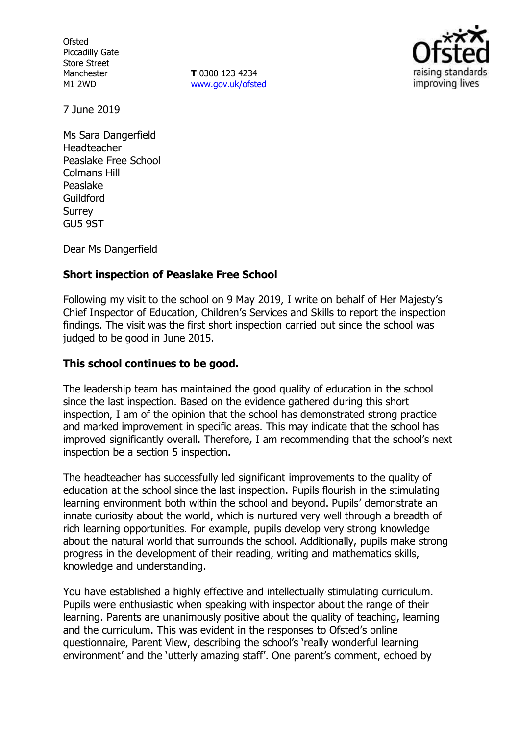**Ofsted** Piccadilly Gate Store Street Manchester M1 2WD

**T** 0300 123 4234 [www.gov.uk/ofsted](http://www.gov.uk/ofsted)



7 June 2019

Ms Sara Dangerfield Headteacher Peaslake Free School Colmans Hill Peaslake Guildford **Surrey** GU5 9ST

Dear Ms Dangerfield

# **Short inspection of Peaslake Free School**

Following my visit to the school on 9 May 2019, I write on behalf of Her Majesty's Chief Inspector of Education, Children's Services and Skills to report the inspection findings. The visit was the first short inspection carried out since the school was judged to be good in June 2015.

### **This school continues to be good.**

The leadership team has maintained the good quality of education in the school since the last inspection. Based on the evidence gathered during this short inspection, I am of the opinion that the school has demonstrated strong practice and marked improvement in specific areas. This may indicate that the school has improved significantly overall. Therefore, I am recommending that the school's next inspection be a section 5 inspection.

The headteacher has successfully led significant improvements to the quality of education at the school since the last inspection. Pupils flourish in the stimulating learning environment both within the school and beyond. Pupils' demonstrate an innate curiosity about the world, which is nurtured very well through a breadth of rich learning opportunities. For example, pupils develop very strong knowledge about the natural world that surrounds the school. Additionally, pupils make strong progress in the development of their reading, writing and mathematics skills, knowledge and understanding.

You have established a highly effective and intellectually stimulating curriculum. Pupils were enthusiastic when speaking with inspector about the range of their learning. Parents are unanimously positive about the quality of teaching, learning and the curriculum. This was evident in the responses to Ofsted's online questionnaire, Parent View, describing the school's 'really wonderful learning environment' and the 'utterly amazing staff'. One parent's comment, echoed by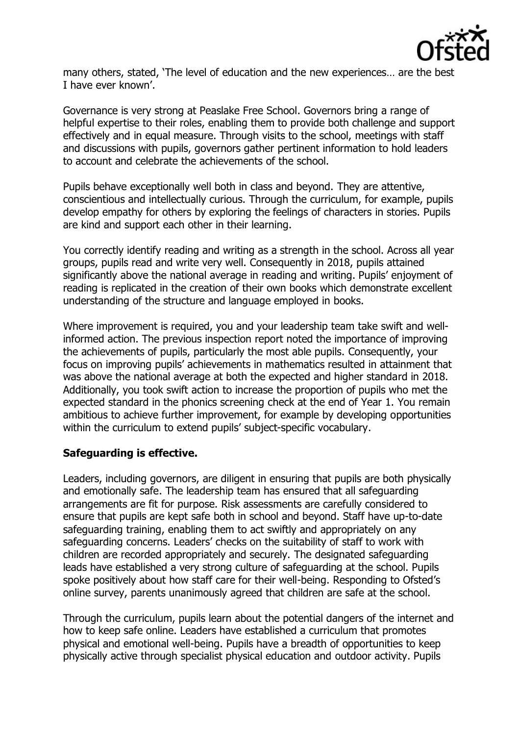

many others, stated, 'The level of education and the new experiences… are the best I have ever known'.

Governance is very strong at Peaslake Free School. Governors bring a range of helpful expertise to their roles, enabling them to provide both challenge and support effectively and in equal measure. Through visits to the school, meetings with staff and discussions with pupils, governors gather pertinent information to hold leaders to account and celebrate the achievements of the school.

Pupils behave exceptionally well both in class and beyond. They are attentive, conscientious and intellectually curious. Through the curriculum, for example, pupils develop empathy for others by exploring the feelings of characters in stories. Pupils are kind and support each other in their learning.

You correctly identify reading and writing as a strength in the school. Across all year groups, pupils read and write very well. Consequently in 2018, pupils attained significantly above the national average in reading and writing. Pupils' enjoyment of reading is replicated in the creation of their own books which demonstrate excellent understanding of the structure and language employed in books.

Where improvement is required, you and your leadership team take swift and wellinformed action. The previous inspection report noted the importance of improving the achievements of pupils, particularly the most able pupils. Consequently, your focus on improving pupils' achievements in mathematics resulted in attainment that was above the national average at both the expected and higher standard in 2018. Additionally, you took swift action to increase the proportion of pupils who met the expected standard in the phonics screening check at the end of Year 1. You remain ambitious to achieve further improvement, for example by developing opportunities within the curriculum to extend pupils' subject-specific vocabulary.

### **Safeguarding is effective.**

Leaders, including governors, are diligent in ensuring that pupils are both physically and emotionally safe. The leadership team has ensured that all safeguarding arrangements are fit for purpose. Risk assessments are carefully considered to ensure that pupils are kept safe both in school and beyond. Staff have up-to-date safeguarding training, enabling them to act swiftly and appropriately on any safeguarding concerns. Leaders' checks on the suitability of staff to work with children are recorded appropriately and securely. The designated safeguarding leads have established a very strong culture of safeguarding at the school. Pupils spoke positively about how staff care for their well-being. Responding to Ofsted's online survey, parents unanimously agreed that children are safe at the school.

Through the curriculum, pupils learn about the potential dangers of the internet and how to keep safe online. Leaders have established a curriculum that promotes physical and emotional well-being. Pupils have a breadth of opportunities to keep physically active through specialist physical education and outdoor activity. Pupils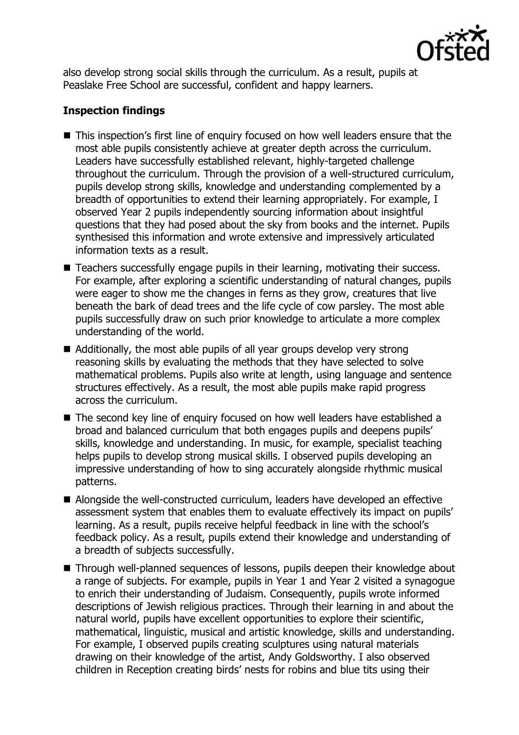

also develop strong social skills through the curriculum. As a result, pupils at Peaslake Free School are successful, confident and happy learners.

# **Inspection findings**

- This inspection's first line of enquiry focused on how well leaders ensure that the most able pupils consistently achieve at greater depth across the curriculum. Leaders have successfully established relevant, highly-targeted challenge throughout the curriculum. Through the provision of a well-structured curriculum, pupils develop strong skills, knowledge and understanding complemented by a breadth of opportunities to extend their learning appropriately. For example, I observed Year 2 pupils independently sourcing information about insightful questions that they had posed about the sky from books and the internet. Pupils synthesised this information and wrote extensive and impressively articulated information texts as a result.
- Teachers successfully engage pupils in their learning, motivating their success. For example, after exploring a scientific understanding of natural changes, pupils were eager to show me the changes in ferns as they grow, creatures that live beneath the bark of dead trees and the life cycle of cow parsley. The most able pupils successfully draw on such prior knowledge to articulate a more complex understanding of the world.
- Additionally, the most able pupils of all year groups develop very strong reasoning skills by evaluating the methods that they have selected to solve mathematical problems. Pupils also write at length, using language and sentence structures effectively. As a result, the most able pupils make rapid progress across the curriculum.
- The second key line of enquiry focused on how well leaders have established a broad and balanced curriculum that both engages pupils and deepens pupils' skills, knowledge and understanding. In music, for example, specialist teaching helps pupils to develop strong musical skills. I observed pupils developing an impressive understanding of how to sing accurately alongside rhythmic musical patterns.
- Alongside the well-constructed curriculum, leaders have developed an effective assessment system that enables them to evaluate effectively its impact on pupils' learning. As a result, pupils receive helpful feedback in line with the school's feedback policy. As a result, pupils extend their knowledge and understanding of a breadth of subjects successfully.
- Through well-planned sequences of lessons, pupils deepen their knowledge about a range of subjects. For example, pupils in Year 1 and Year 2 visited a synagogue to enrich their understanding of Judaism. Consequently, pupils wrote informed descriptions of Jewish religious practices. Through their learning in and about the natural world, pupils have excellent opportunities to explore their scientific, mathematical, linguistic, musical and artistic knowledge, skills and understanding. For example, I observed pupils creating sculptures using natural materials drawing on their knowledge of the artist, Andy Goldsworthy. I also observed children in Reception creating birds' nests for robins and blue tits using their